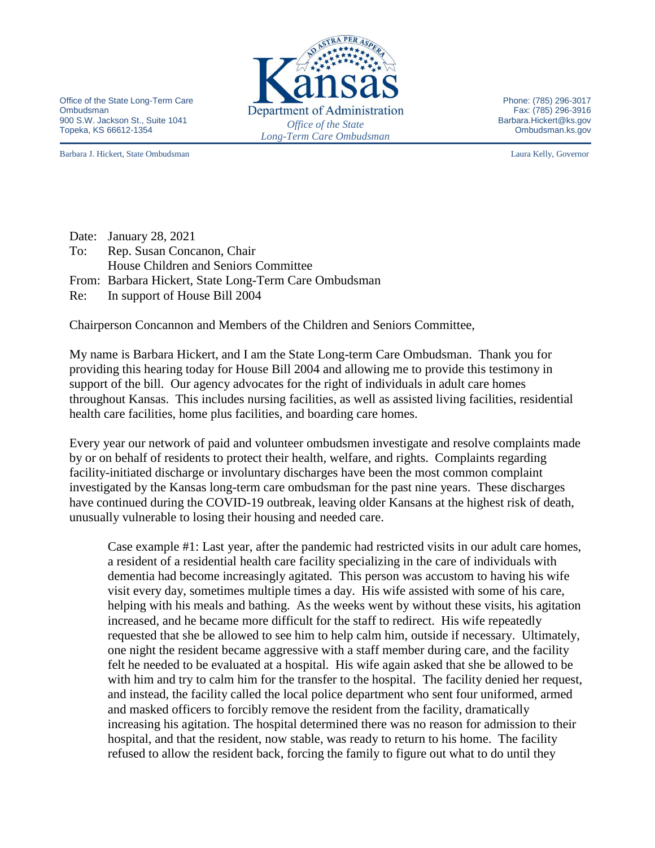Office of the State Long-Term Care Ombudsman 900 S.W. Jackson St., Suite 1041 Topeka, KS 66612-1354 *Office of the State* 

Barbara J. Hickert, State Ombudsman Laura Kelly, Governor



Phone: (785) 296-3017 Fax: (785) 296-3916 Barbara.Hickert@ks.gov Ombudsman.ks.gov

|     | Date: January 28, 2021                                |
|-----|-------------------------------------------------------|
| To: | Rep. Susan Concanon, Chair                            |
|     | House Children and Seniors Committee                  |
|     | From: Barbara Hickert, State Long-Term Care Ombudsman |
|     | Re: In support of House Bill 2004                     |

Chairperson Concannon and Members of the Children and Seniors Committee,

My name is Barbara Hickert, and I am the State Long-term Care Ombudsman. Thank you for providing this hearing today for House Bill 2004 and allowing me to provide this testimony in support of the bill. Our agency advocates for the right of individuals in adult care homes throughout Kansas. This includes nursing facilities, as well as assisted living facilities, residential health care facilities, home plus facilities, and boarding care homes.

Every year our network of paid and volunteer ombudsmen investigate and resolve complaints made by or on behalf of residents to protect their health, welfare, and rights. Complaints regarding facility-initiated discharge or involuntary discharges have been the most common complaint investigated by the Kansas long-term care ombudsman for the past nine years. These discharges have continued during the COVID-19 outbreak, leaving older Kansans at the highest risk of death, unusually vulnerable to losing their housing and needed care.

Case example #1: Last year, after the pandemic had restricted visits in our adult care homes, a resident of a residential health care facility specializing in the care of individuals with dementia had become increasingly agitated. This person was accustom to having his wife visit every day, sometimes multiple times a day. His wife assisted with some of his care, helping with his meals and bathing. As the weeks went by without these visits, his agitation increased, and he became more difficult for the staff to redirect. His wife repeatedly requested that she be allowed to see him to help calm him, outside if necessary. Ultimately, one night the resident became aggressive with a staff member during care, and the facility felt he needed to be evaluated at a hospital. His wife again asked that she be allowed to be with him and try to calm him for the transfer to the hospital. The facility denied her request, and instead, the facility called the local police department who sent four uniformed, armed and masked officers to forcibly remove the resident from the facility, dramatically increasing his agitation. The hospital determined there was no reason for admission to their hospital, and that the resident, now stable, was ready to return to his home. The facility refused to allow the resident back, forcing the family to figure out what to do until they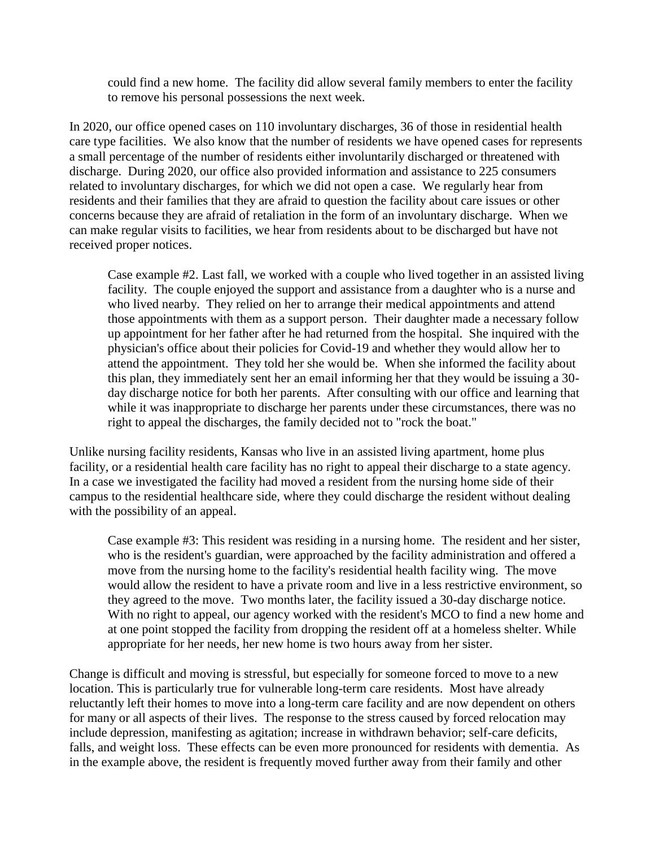could find a new home. The facility did allow several family members to enter the facility to remove his personal possessions the next week.

In 2020, our office opened cases on 110 involuntary discharges, 36 of those in residential health care type facilities. We also know that the number of residents we have opened cases for represents a small percentage of the number of residents either involuntarily discharged or threatened with discharge. During 2020, our office also provided information and assistance to 225 consumers related to involuntary discharges, for which we did not open a case. We regularly hear from residents and their families that they are afraid to question the facility about care issues or other concerns because they are afraid of retaliation in the form of an involuntary discharge. When we can make regular visits to facilities, we hear from residents about to be discharged but have not received proper notices.

Case example #2. Last fall, we worked with a couple who lived together in an assisted living facility. The couple enjoyed the support and assistance from a daughter who is a nurse and who lived nearby. They relied on her to arrange their medical appointments and attend those appointments with them as a support person. Their daughter made a necessary follow up appointment for her father after he had returned from the hospital. She inquired with the physician's office about their policies for Covid-19 and whether they would allow her to attend the appointment. They told her she would be. When she informed the facility about this plan, they immediately sent her an email informing her that they would be issuing a 30 day discharge notice for both her parents. After consulting with our office and learning that while it was inappropriate to discharge her parents under these circumstances, there was no right to appeal the discharges, the family decided not to "rock the boat."

Unlike nursing facility residents, Kansas who live in an assisted living apartment, home plus facility, or a residential health care facility has no right to appeal their discharge to a state agency. In a case we investigated the facility had moved a resident from the nursing home side of their campus to the residential healthcare side, where they could discharge the resident without dealing with the possibility of an appeal.

Case example #3: This resident was residing in a nursing home. The resident and her sister, who is the resident's guardian, were approached by the facility administration and offered a move from the nursing home to the facility's residential health facility wing. The move would allow the resident to have a private room and live in a less restrictive environment, so they agreed to the move. Two months later, the facility issued a 30-day discharge notice. With no right to appeal, our agency worked with the resident's MCO to find a new home and at one point stopped the facility from dropping the resident off at a homeless shelter. While appropriate for her needs, her new home is two hours away from her sister.

Change is difficult and moving is stressful, but especially for someone forced to move to a new location. This is particularly true for vulnerable long-term care residents. Most have already reluctantly left their homes to move into a long-term care facility and are now dependent on others for many or all aspects of their lives. The response to the stress caused by forced relocation may include depression, manifesting as agitation; increase in withdrawn behavior; self-care deficits, falls, and weight loss. These effects can be even more pronounced for residents with dementia. As in the example above, the resident is frequently moved further away from their family and other